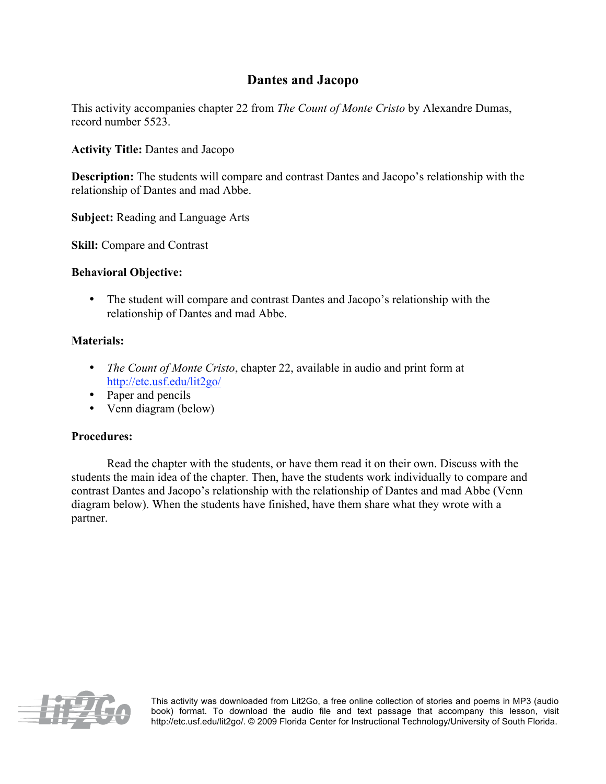## **Dantes and Jacopo**

This activity accompanies chapter 22 from *The Count of Monte Cristo* by Alexandre Dumas, record number 5523.

**Activity Title:** Dantes and Jacopo

**Description:** The students will compare and contrast Dantes and Jacopo's relationship with the relationship of Dantes and mad Abbe.

**Subject:** Reading and Language Arts

**Skill:** Compare and Contrast

## **Behavioral Objective:**

• The student will compare and contrast Dantes and Jacopo's relationship with the relationship of Dantes and mad Abbe.

## **Materials:**

- *The Count of Monte Cristo*, chapter 22, available in audio and print form at http://etc.usf.edu/lit2go/
- Paper and pencils
- Venn diagram (below)

## **Procedures:**

Read the chapter with the students, or have them read it on their own. Discuss with the students the main idea of the chapter. Then, have the students work individually to compare and contrast Dantes and Jacopo's relationship with the relationship of Dantes and mad Abbe (Venn diagram below). When the students have finished, have them share what they wrote with a partner.



This activity was downloaded from Lit2Go, a free online collection of stories and poems in MP3 (audio book) format. To download the audio file and text passage that accompany this lesson, visit http://etc.usf.edu/lit2go/. © 2009 Florida Center for Instructional Technology/University of South Florida.